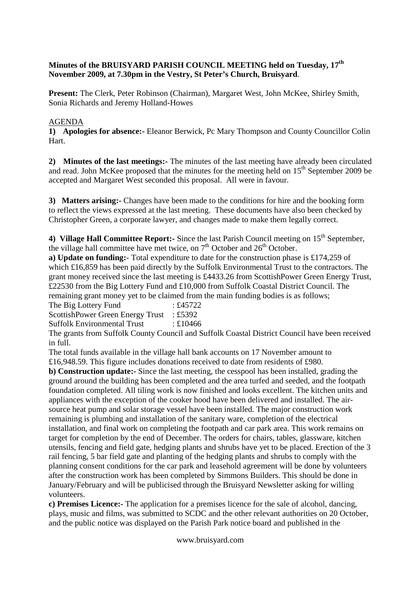## **Minutes of the BRUISYARD PARISH COUNCIL MEETING held on Tuesday, 17th November 2009, at 7.30pm in the Vestry, St Peter's Church, Bruisyard**.

**Present:** The Clerk, Peter Robinson (Chairman), Margaret West, John McKee, Shirley Smith, Sonia Richards and Jeremy Holland-Howes

## AGENDA

**1) Apologies for absence:-** Eleanor Berwick, Pc Mary Thompson and County Councillor Colin Hart.

**2) Minutes of the last meetings:-** The minutes of the last meeting have already been circulated and read. John McKee proposed that the minutes for the meeting held on  $15<sup>th</sup>$  September 2009 be accepted and Margaret West seconded this proposal. All were in favour.

**3) Matters arising:-** Changes have been made to the conditions for hire and the booking form to reflect the views expressed at the last meeting. These documents have also been checked by Christopher Green, a corporate lawyer, and changes made to make them legally correct.

4) **Village Hall Committee Report:**- Since the last Parish Council meeting on 15<sup>th</sup> September, the village hall committee have met twice, on  $7<sup>th</sup>$  October and  $26<sup>th</sup>$  October.

**a) Update on funding:**- Total expenditure to date for the construction phase is £174,259 of which £16,859 has been paid directly by the Suffolk Environmental Trust to the contractors. The grant money received since the last meeting is £4433.26 from ScottishPower Green Energy Trust, £22530 from the Big Lottery Fund and £10,000 from Suffolk Coastal District Council. The remaining grant money yet to be claimed from the main funding bodies is as follows;

The Big Lottery Fund : £45722

ScottishPower Green Energy Trust : £5392

Suffolk Environmental Trust : £10466

The grants from Suffolk County Council and Suffolk Coastal District Council have been received in full.

The total funds available in the village hall bank accounts on 17 November amount to £16,948.59. This figure includes donations received to date from residents of £980.

**b) Construction update:-** Since the last meeting, the cesspool has been installed, grading the ground around the building has been completed and the area turfed and seeded, and the footpath foundation completed. All tiling work is now finished and looks excellent. The kitchen units and appliances with the exception of the cooker hood have been delivered and installed. The airsource heat pump and solar storage vessel have been installed. The major construction work remaining is plumbing and installation of the sanitary ware, completion of the electrical installation, and final work on completing the footpath and car park area. This work remains on target for completion by the end of December. The orders for chairs, tables, glassware, kitchen utensils, fencing and field gate, hedging plants and shrubs have yet to be placed. Erection of the 3 rail fencing, 5 bar field gate and planting of the hedging plants and shrubs to comply with the planning consent conditions for the car park and leasehold agreement will be done by volunteers after the construction work has been completed by Simmons Builders. This should be done in January/February and will be publicised through the Bruisyard Newsletter asking for willing volunteers.

**c) Premises Licence:-** The application for a premises licence for the sale of alcohol, dancing, plays, music and films, was submitted to SCDC and the other relevant authorities on 20 October, and the public notice was displayed on the Parish Park notice board and published in the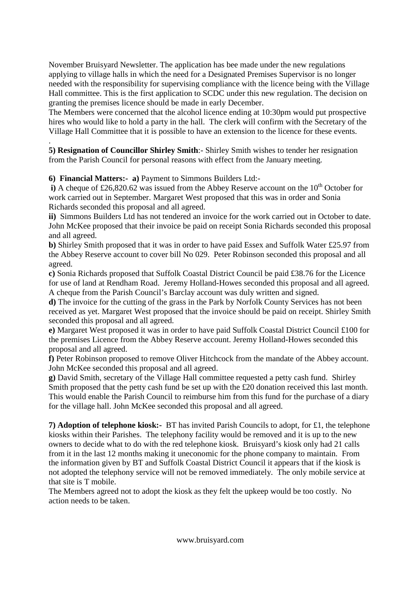November Bruisyard Newsletter. The application has bee made under the new regulations applying to village halls in which the need for a Designated Premises Supervisor is no longer needed with the responsibility for supervising compliance with the licence being with the Village Hall committee. This is the first application to SCDC under this new regulation. The decision on granting the premises licence should be made in early December.

The Members were concerned that the alcohol licence ending at 10:30pm would put prospective hires who would like to hold a party in the hall. The clerk will confirm with the Secretary of the Village Hall Committee that it is possible to have an extension to the licence for these events.

. **5) Resignation of Councillor Shirley Smith**:- Shirley Smith wishes to tender her resignation from the Parish Council for personal reasons with effect from the January meeting.

**6) Financial Matters:- a)** Payment to Simmons Builders Ltd:-

**i**) A cheque of £26,820.62 was issued from the Abbey Reserve account on the  $10<sup>th</sup>$  October for work carried out in September. Margaret West proposed that this was in order and Sonia Richards seconded this proposal and all agreed.

**ii)** Simmons Builders Ltd has not tendered an invoice for the work carried out in October to date. John McKee proposed that their invoice be paid on receipt Sonia Richards seconded this proposal and all agreed.

**b)** Shirley Smith proposed that it was in order to have paid Essex and Suffolk Water £25.97 from the Abbey Reserve account to cover bill No 029. Peter Robinson seconded this proposal and all agreed.

**c)** Sonia Richards proposed that Suffolk Coastal District Council be paid £38.76 for the Licence for use of land at Rendham Road. Jeremy Holland-Howes seconded this proposal and all agreed. A cheque from the Parish Council's Barclay account was duly written and signed.

**d)** The invoice for the cutting of the grass in the Park by Norfolk County Services has not been received as yet. Margaret West proposed that the invoice should be paid on receipt. Shirley Smith seconded this proposal and all agreed.

**e)** Margaret West proposed it was in order to have paid Suffolk Coastal District Council £100 for the premises Licence from the Abbey Reserve account. Jeremy Holland-Howes seconded this proposal and all agreed.

**f)** Peter Robinson proposed to remove Oliver Hitchcock from the mandate of the Abbey account. John McKee seconded this proposal and all agreed.

**g)** David Smith, secretary of the Village Hall committee requested a petty cash fund. Shirley Smith proposed that the petty cash fund be set up with the £20 donation received this last month. This would enable the Parish Council to reimburse him from this fund for the purchase of a diary for the village hall. John McKee seconded this proposal and all agreed.

**7) Adoption of telephone kiosk:-** BT has invited Parish Councils to adopt, for £1, the telephone kiosks within their Parishes. The telephony facility would be removed and it is up to the new owners to decide what to do with the red telephone kiosk. Bruisyard's kiosk only had 21 calls from it in the last 12 months making it uneconomic for the phone company to maintain. From the information given by BT and Suffolk Coastal District Council it appears that if the kiosk is not adopted the telephony service will not be removed immediately. The only mobile service at that site is T mobile.

The Members agreed not to adopt the kiosk as they felt the upkeep would be too costly. No action needs to be taken.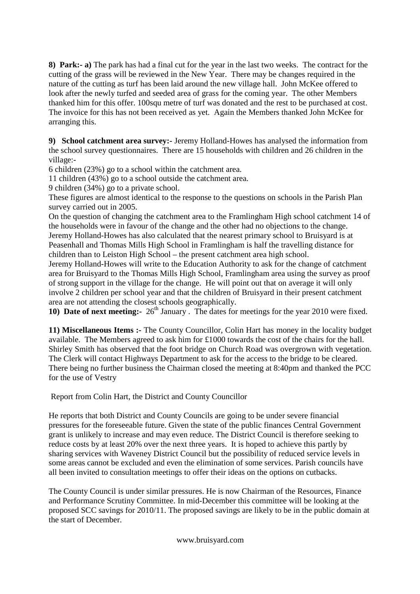**8) Park:- a)** The park has had a final cut for the year in the last two weeks. The contract for the cutting of the grass will be reviewed in the New Year. There may be changes required in the nature of the cutting as turf has been laid around the new village hall. John McKee offered to look after the newly turfed and seeded area of grass for the coming year. The other Members thanked him for this offer. 100squ metre of turf was donated and the rest to be purchased at cost. The invoice for this has not been received as yet. Again the Members thanked John McKee for arranging this.

**9) School catchment area survey:-** Jeremy Holland-Howes has analysed the information from the school survey questionnaires. There are 15 households with children and 26 children in the village:-

6 children (23%) go to a school within the catchment area.

11 children (43%) go to a school outside the catchment area.

9 children (34%) go to a private school.

These figures are almost identical to the response to the questions on schools in the Parish Plan survey carried out in 2005.

On the question of changing the catchment area to the Framlingham High school catchment 14 of the households were in favour of the change and the other had no objections to the change. Jeremy Holland-Howes has also calculated that the nearest primary school to Bruisyard is at Peasenhall and Thomas Mills High School in Framlingham is half the travelling distance for children than to Leiston High School – the present catchment area high school.

Jeremy Holland-Howes will write to the Education Authority to ask for the change of catchment area for Bruisyard to the Thomas Mills High School, Framlingham area using the survey as proof of strong support in the village for the change. He will point out that on average it will only involve 2 children per school year and that the children of Bruisyard in their present catchment area are not attending the closest schools geographically.

**10) Date of next meeting:-**  $26^{th}$  January. The dates for meetings for the year 2010 were fixed.

**11) Miscellaneous Items :-** The County Councillor, Colin Hart has money in the locality budget available. The Members agreed to ask him for £1000 towards the cost of the chairs for the hall. Shirley Smith has observed that the foot bridge on Church Road was overgrown with vegetation. The Clerk will contact Highways Department to ask for the access to the bridge to be cleared. There being no further business the Chairman closed the meeting at 8:40pm and thanked the PCC for the use of Vestry

Report from Colin Hart, the District and County Councillor

He reports that both District and County Councils are going to be under severe financial pressures for the foreseeable future. Given the state of the public finances Central Government grant is unlikely to increase and may even reduce. The District Council is therefore seeking to reduce costs by at least 20% over the next three years. It is hoped to achieve this partly by sharing services with Waveney District Council but the possibility of reduced service levels in some areas cannot be excluded and even the elimination of some services. Parish councils have all been invited to consultation meetings to offer their ideas on the options on cutbacks.

The County Council is under similar pressures. He is now Chairman of the Resources, Finance and Performance Scrutiny Committee. In mid-December this committee will be looking at the proposed SCC savings for 2010/11. The proposed savings are likely to be in the public domain at the start of December.